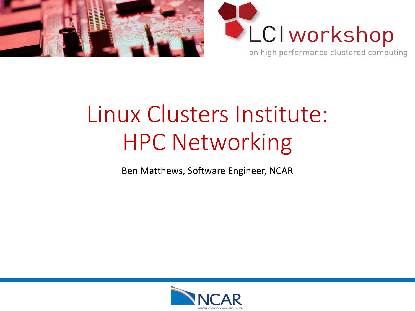



# Linux Clusters Institute: HPC Networking

Ben Matthews, Software Engineer, NCAR

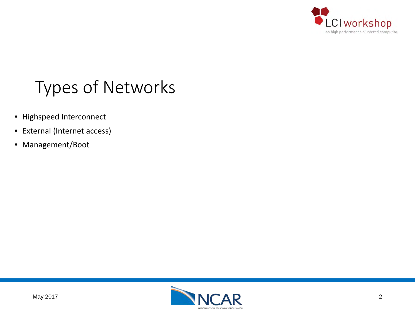

# Types of Networks

- Highspeed Interconnect
- External (Internet access)
- Management/Boot

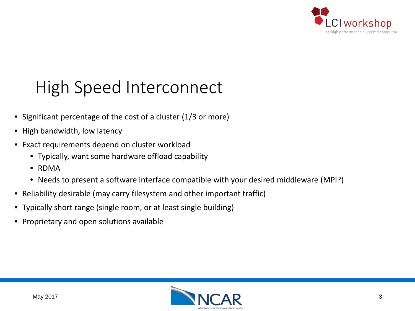

# High Speed Interconnect

- Significant percentage of the cost of a cluster (1/3 or more)
- High bandwidth, low latency
- Exact requirements depend on cluster workload
	- Typically, want some hardware offload capability
	- RDMA
	- Needs to present a software interface compatible with your desired middleware (MPI?)
- Reliability desirable (may carry filesystem and other important traffic)
- Typically short range (single room, or at least single building)
- Proprietary and open solutions available

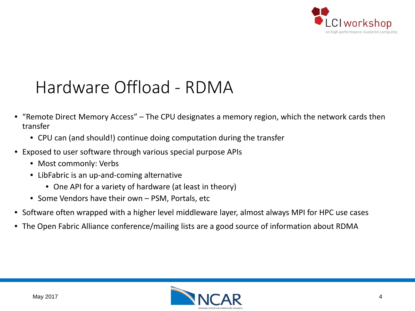

## Hardware Offload - RDMA

- "Remote Direct Memory Access" The CPU designates a memory region, which the network cards then transfer
	- CPU can (and should!) continue doing computation during the transfer
- Exposed to user software through various special purpose APIs
	- Most commonly: Verbs
	- LibFabric is an up-and-coming alternative
		- One API for a variety of hardware (at least in theory)
	- Some Vendors have their own PSM, Portals, etc
- Software often wrapped with a higher level middleware layer, almost always MPI for HPC use cases
- The Open Fabric Alliance conference/mailing lists are a good source of information about RDMA

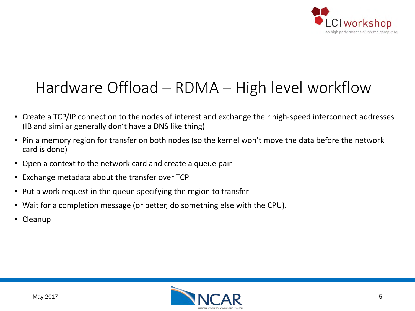

#### Hardware Offload – RDMA – High level workflow

- Create a TCP/IP connection to the nodes of interest and exchange their high-speed interconnect addresses (IB and similar generally don't have a DNS like thing)
- Pin a memory region for transfer on both nodes (so the kernel won't move the data before the network card is done)
- Open a context to the network card and create a queue pair
- Exchange metadata about the transfer over TCP
- Put a work request in the queue specifying the region to transfer
- Wait for a completion message (or better, do something else with the CPU).
- Cleanup

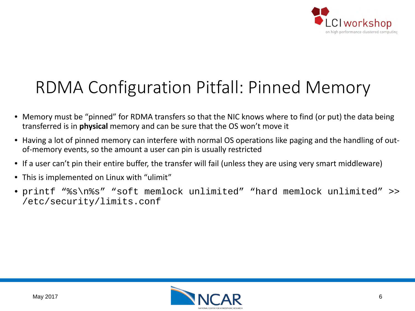

# RDMA Configuration Pitfall: Pinned Memory

- Memory must be "pinned" for RDMA transfers so that the NIC knows where to find (or put) the data being transferred is in **physical** memory and can be sure that the OS won't move it
- Having a lot of pinned memory can interfere with normal OS operations like paging and the handling of outof-memory events, so the amount a user can pin is usually restricted
- If a user can't pin their entire buffer, the transfer will fail (unless they are using very smart middleware)
- This is implemented on Linux with "ulimit"
- printf "%s\n%s" "soft memlock unlimited" "hard memlock unlimited" >> /etc/security/limits.conf

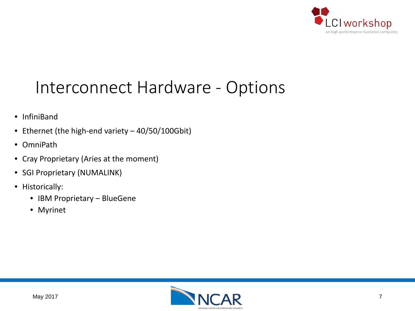

## Interconnect Hardware - Options

- InfiniBand
- Ethernet (the high-end variety 40/50/100Gbit)
- OmniPath
- Cray Proprietary (Aries at the moment)
- SGI Proprietary (NUMALINK)
- Historically:
	- IBM Proprietary BlueGene
	- Myrinet

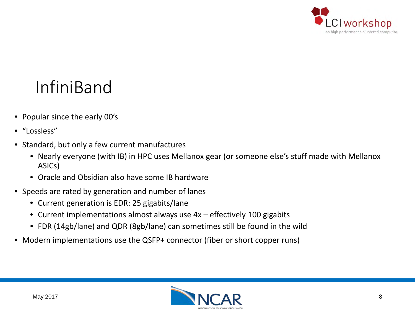

# InfiniBand

- Popular since the early 00's
- "Lossless"
- Standard, but only a few current manufactures
	- Nearly everyone (with IB) in HPC uses Mellanox gear (or someone else's stuff made with Mellanox ASICs)
	- Oracle and Obsidian also have some IB hardware
- Speeds are rated by generation and number of lanes
	- Current generation is EDR: 25 gigabits/lane
	- Current implementations almost always use  $4x$  effectively 100 gigabits
	- FDR (14gb/lane) and QDR (8gb/lane) can sometimes still be found in the wild
- Modern implementations use the QSFP+ connector (fiber or short copper runs)

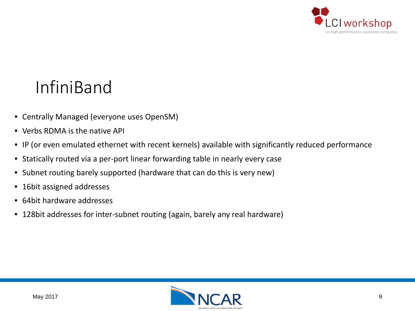

## InfiniBand

- Centrally Managed (everyone uses OpenSM)
- Verbs RDMA is the native API
- IP (or even emulated ethernet with recent kernels) available with significantly reduced performance
- Statically routed via a per-port linear forwarding table in nearly every case
- Subnet routing barely supported (hardware that can do this is very new)
- 16bit assigned addresses
- 64bit hardware addresses
- 128bit addresses for inter-subnet routing (again, barely any real hardware)

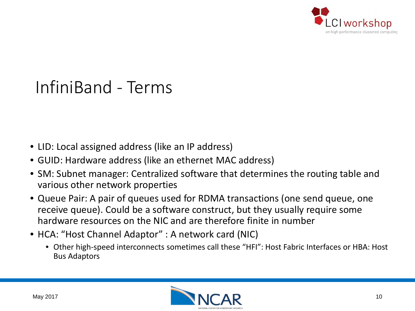

## InfiniBand - Terms

- LID: Local assigned address (like an IP address)
- GUID: Hardware address (like an ethernet MAC address)
- SM: Subnet manager: Centralized software that determines the routing table and various other network properties
- Queue Pair: A pair of queues used for RDMA transactions (one send queue, one receive queue). Could be a software construct, but they usually require some hardware resources on the NIC and are therefore finite in number
- HCA: "Host Channel Adaptor" : A network card (NIC)
	- Other high-speed interconnects sometimes call these "HFI": Host Fabric Interfaces or HBA: Host Bus Adaptors

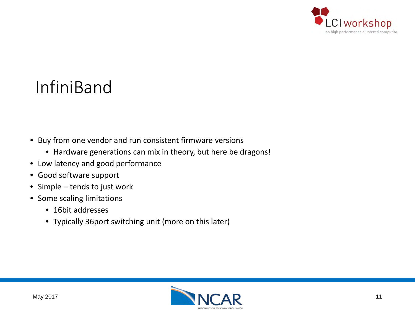

## InfiniBand

- Buy from one vendor and run consistent firmware versions
	- Hardware generations can mix in theory, but here be dragons!
- Low latency and good performance
- Good software support
- Simple tends to just work
- Some scaling limitations
	- 16bit addresses
	- Typically 36port switching unit (more on this later)

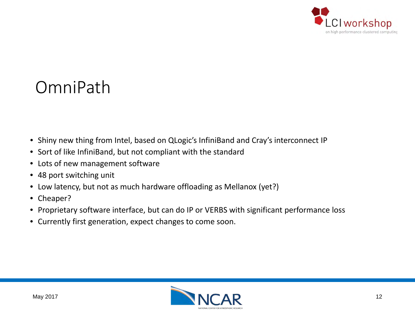

#### OmniPath

- Shiny new thing from Intel, based on QLogic's InfiniBand and Cray's interconnect IP
- Sort of like InfiniBand, but not compliant with the standard
- Lots of new management software
- 48 port switching unit
- Low latency, but not as much hardware offloading as Mellanox (yet?)
- Cheaper?
- Proprietary software interface, but can do IP or VERBS with significant performance loss
- Currently first generation, expect changes to come soon.

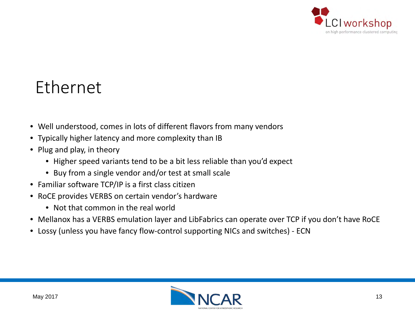

#### Ethernet

- Well understood, comes in lots of different flavors from many vendors
- Typically higher latency and more complexity than IB
- Plug and play, in theory
	- Higher speed variants tend to be a bit less reliable than you'd expect
	- Buy from a single vendor and/or test at small scale
- Familiar software TCP/IP is a first class citizen
- RoCE provides VERBS on certain vendor's hardware
	- Not that common in the real world
- Mellanox has a VERBS emulation layer and LibFabrics can operate over TCP if you don't have RoCE
- Lossy (unless you have fancy flow-control supporting NICs and switches) ECN

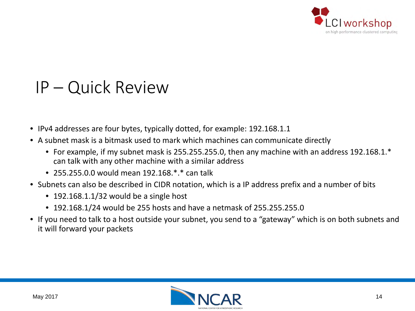

#### IP – Quick Review

- IPv4 addresses are four bytes, typically dotted, for example: 192.168.1.1
- A subnet mask is a bitmask used to mark which machines can communicate directly
	- For example, if my subnet mask is 255.255.255.0, then any machine with an address 192.168.1.\* can talk with any other machine with a similar address
	- 255.255.0.0 would mean 192.168  $*$  \* can talk
- Subnets can also be described in CIDR notation, which is a IP address prefix and a number of bits
	- 192.168.1.1/32 would be a single host
	- 192.168.1/24 would be 255 hosts and have a netmask of 255.255.255.0
- If you need to talk to a host outside your subnet, you send to a "gateway" which is on both subnets and it will forward your packets

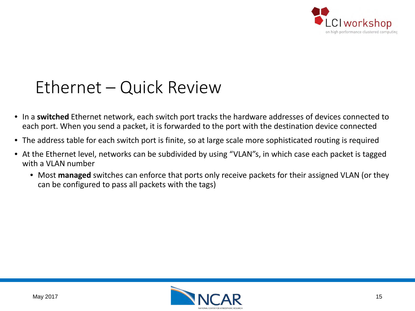

## Ethernet – Quick Review

- In a **switched** Ethernet network, each switch port tracks the hardware addresses of devices connected to each port. When you send a packet, it is forwarded to the port with the destination device connected
- The address table for each switch port is finite, so at large scale more sophisticated routing is required
- At the Ethernet level, networks can be subdivided by using "VLAN"s, in which case each packet is tagged with a VLAN number
	- Most **managed** switches can enforce that ports only receive packets for their assigned VLAN (or they can be configured to pass all packets with the tags)

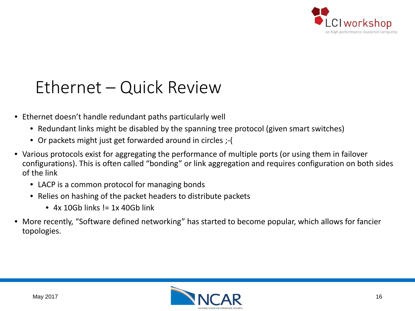

## Ethernet – Quick Review

- Ethernet doesn't handle redundant paths particularly well
	- Redundant links might be disabled by the spanning tree protocol (given smart switches)
	- Or packets might just get forwarded around in circles ;-(
- Various protocols exist for aggregating the performance of multiple ports (or using them in failover configurations). This is often called "bonding" or link aggregation and requires configuration on both sides of the link
	- LACP is a common protocol for managing bonds
	- Relies on hashing of the packet headers to distribute packets
		- $\bullet$  4x 10Gb links  $!=$  1x 40Gb link
- More recently, "Software defined networking" has started to become popular, which allows for fancier topologies.

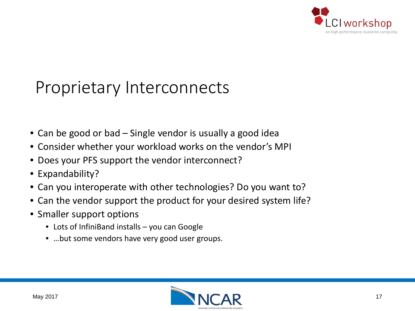

### Proprietary Interconnects

- Can be good or bad Single vendor is usually a good idea
- Consider whether your workload works on the vendor's MPI
- Does your PFS support the vendor interconnect?
- Expandability?
- Can you interoperate with other technologies? Do you want to?
- Can the vendor support the product for your desired system life?
- Smaller support options
	- Lots of InfiniBand installs you can Google
	- …but some vendors have very good user groups.

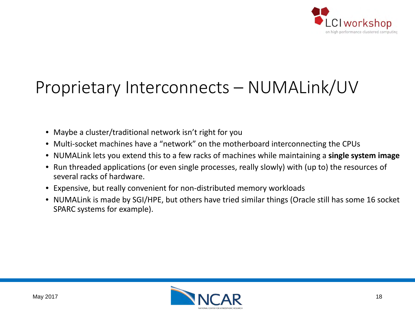

# Proprietary Interconnects – NUMALink/UV

- Maybe a cluster/traditional network isn't right for you
- Multi-socket machines have a "network" on the motherboard interconnecting the CPUs
- NUMALink lets you extend this to a few racks of machines while maintaining a **single system image**
- Run threaded applications (or even single processes, really slowly) with (up to) the resources of several racks of hardware.
- Expensive, but really convenient for non-distributed memory workloads
- NUMALink is made by SGI/HPE, but others have tried similar things (Oracle still has some 16 socket SPARC systems for example).

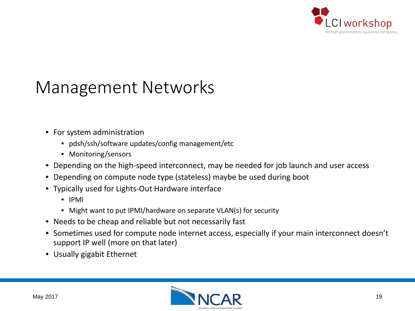

## Management Networks

- For system administration
	- pdsh/ssh/software updates/config management/etc
	- Monitoring/sensors
- Depending on the high-speed interconnect, may be needed for job launch and user access
- Depending on compute node type (stateless) maybe be used during boot
- Typically used for Lights-Out Hardware interface
	- IPMI
	- Might want to put IPMI/hardware on separate VLAN(s) for security
- Needs to be cheap and reliable but not necessarily fast
- Sometimes used for compute node internet access, especially if your main interconnect doesn't support IP well (more on that later)
- Usually gigabit Ethernet

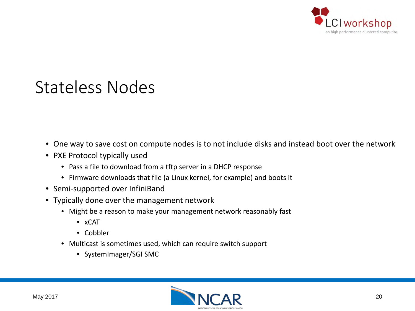

#### Stateless Nodes

- One way to save cost on compute nodes is to not include disks and instead boot over the network
- PXE Protocol typically used
	- Pass a file to download from a tftp server in a DHCP response
	- Firmware downloads that file (a Linux kernel, for example) and boots it
- Semi-supported over InfiniBand
- Typically done over the management network
	- Might be a reason to make your management network reasonably fast
		- xCAT
		- Cobbler
	- Multicast is sometimes used, which can require switch support
		- SystemImager/SGI SMC

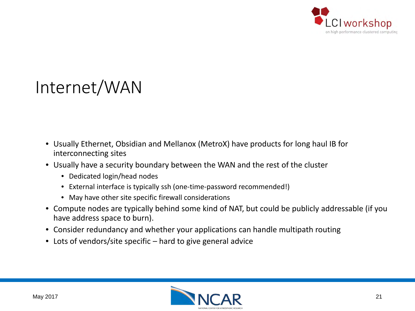

## Internet/WAN

- Usually Ethernet, Obsidian and Mellanox (MetroX) have products for long haul IB for interconnecting sites
- Usually have a security boundary between the WAN and the rest of the cluster
	- Dedicated login/head nodes
	- External interface is typically ssh (one-time-password recommended!)
	- May have other site specific firewall considerations
- Compute nodes are typically behind some kind of NAT, but could be publicly addressable (if you have address space to burn).
- Consider redundancy and whether your applications can handle multipath routing
- Lots of vendors/site specific hard to give general advice

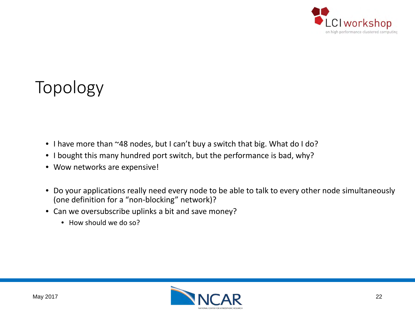

## Topology

- I have more than ~48 nodes, but I can't buy a switch that big. What do I do?
- I bought this many hundred port switch, but the performance is bad, why?
- Wow networks are expensive!
- Do your applications really need every node to be able to talk to every other node simultaneously (one definition for a "non-blocking" network)?
- Can we oversubscribe uplinks a bit and save money?
	- How should we do so?

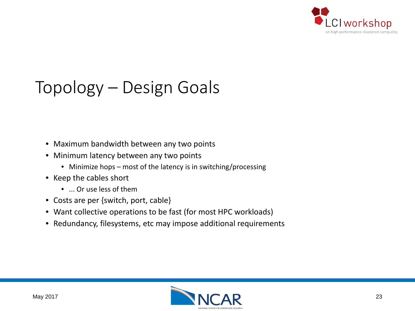

# Topology – Design Goals

- Maximum bandwidth between any two points
- Minimum latency between any two points
	- Minimize hops most of the latency is in switching/processing
- Keep the cables short
	- ... Or use less of them
- Costs are per {switch, port, cable}
- Want collective operations to be fast (for most HPC workloads)
- Redundancy, filesystems, etc may impose additional requirements

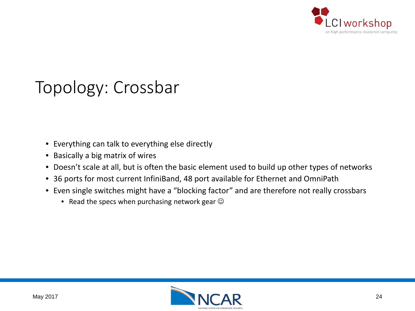

## Topology: Crossbar

- Everything can talk to everything else directly
- Basically a big matrix of wires
- Doesn't scale at all, but is often the basic element used to build up other types of networks
- 36 ports for most current InfiniBand, 48 port available for Ethernet and OmniPath
- Even single switches might have a "blocking factor" and are therefore not really crossbars
	- Read the specs when purchasing network gear  $\odot$

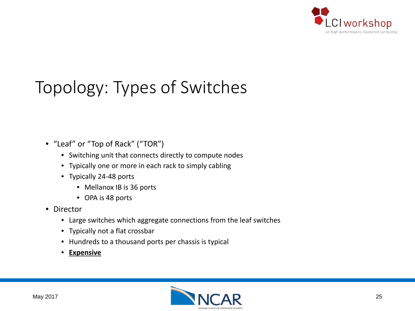

# Topology: Types of Switches

- "Leaf" or "Top of Rack" ("TOR")
	- Switching unit that connects directly to compute nodes
	- Typically one or more in each rack to simply cabling
	- Typically 24-48 ports
		- Mellanox IB is 36 ports
		- OPA is 48 ports
- Director
	- Large switches which aggregate connections from the leaf switches
	- Typically not a flat crossbar
	- Hundreds to a thousand ports per chassis is typical
	- **Expensive**

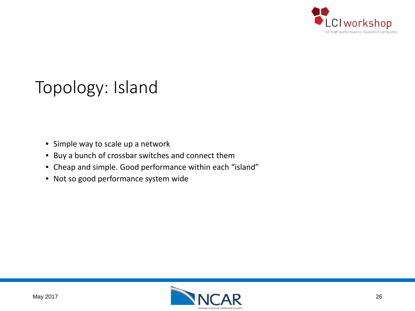

## Topology: Island

- Simple way to scale up a network
- Buy a bunch of crossbar switches and connect them
- Cheap and simple. Good performance within each "island"
- Not so good performance system wide

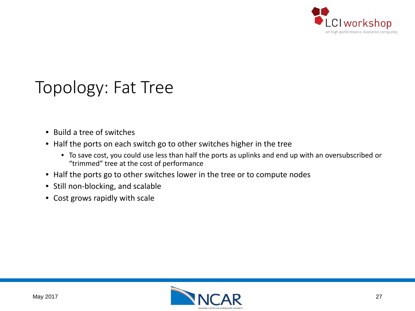

### Topology: Fat Tree

- Build a tree of switches
- Half the ports on each switch go to other switches higher in the tree
	- To save cost, you could use less than half the ports as uplinks and end up with an oversubscribed or "trimmed" tree at the cost of performance
- Half the ports go to other switches lower in the tree or to compute nodes
- Still non-blocking, and scalable
- Cost grows rapidly with scale

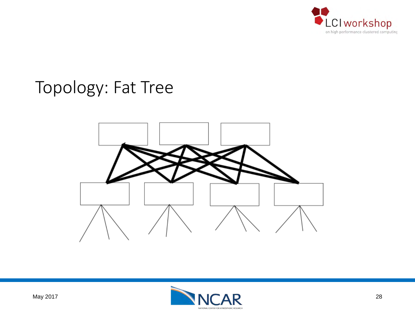

#### Topology: Fat Tree



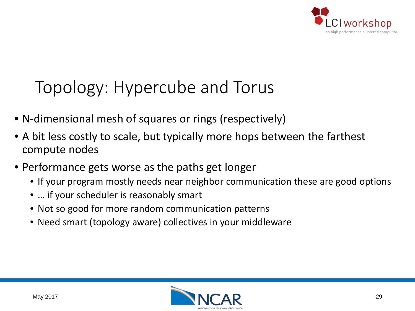

# Topology: Hypercube and Torus

- N-dimensional mesh of squares or rings (respectively)
- A bit less costly to scale, but typically more hops between the farthest compute nodes
- Performance gets worse as the paths get longer
	- If your program mostly needs near neighbor communication these are good options
	- … if your scheduler is reasonably smart
	- Not so good for more random communication patterns
	- Need smart (topology aware) collectives in your middleware

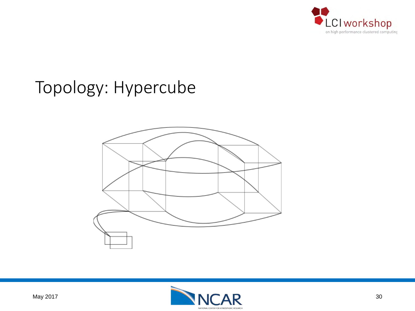

### Topology: Hypercube



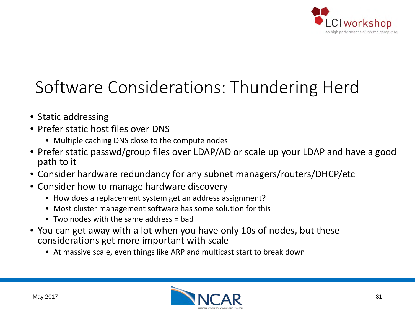

# Software Considerations: Thundering Herd

- Static addressing
- Prefer static host files over DNS
	- Multiple caching DNS close to the compute nodes
- Prefer static passwd/group files over LDAP/AD or scale up your LDAP and have a good path to it
- Consider hardware redundancy for any subnet managers/routers/DHCP/etc
- Consider how to manage hardware discovery
	- How does a replacement system get an address assignment?
	- Most cluster management software has some solution for this
	- Two nodes with the same address = bad
- You can get away with a lot when you have only 10s of nodes, but these considerations get more important with scale
	- At massive scale, even things like ARP and multicast start to break down

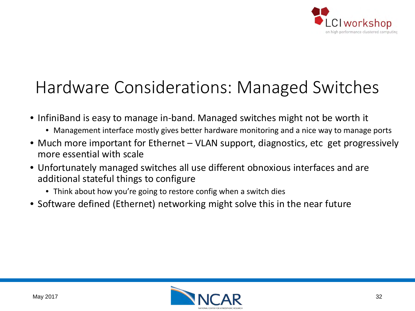

# Hardware Considerations: Managed Switches

- InfiniBand is easy to manage in-band. Managed switches might not be worth it
	- Management interface mostly gives better hardware monitoring and a nice way to manage ports
- Much more important for Ethernet VLAN support, diagnostics, etc get progressively more essential with scale
- Unfortunately managed switches all use different obnoxious interfaces and are additional stateful things to configure
	- Think about how you're going to restore config when a switch dies
- Software defined (Ethernet) networking might solve this in the near future

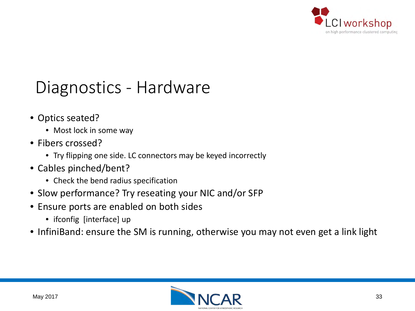

#### Diagnostics - Hardware

- Optics seated?
	- Most lock in some way
- Fibers crossed?
	- Try flipping one side. LC connectors may be keyed incorrectly
- Cables pinched/bent?
	- Check the bend radius specification
- Slow performance? Try reseating your NIC and/or SFP
- Ensure ports are enabled on both sides
	- ifconfig [interface] up
- InfiniBand: ensure the SM is running, otherwise you may not even get a link light

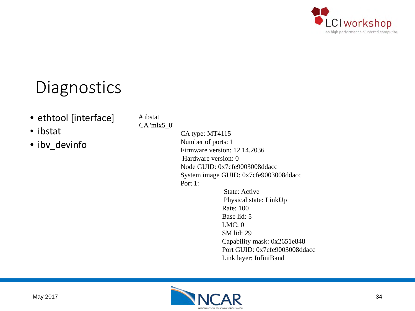

#### **Diagnostics**

- ethtool [interface]
- ibstat
- ibv\_devinfo

# ibstat

CA 'mlx5\_0'

CA type: MT4115 Number of ports: 1 Firmware version: 12.14.2036 Hardware version: 0 Node GUID: 0x7cfe9003008ddacc System image GUID: 0x7cfe9003008ddacc Port 1:

> State: Active Physical state: LinkUp Rate: 100 Base lid: 5 LMC: 0 SM lid: 29 Capability mask: 0x2651e848 Port GUID: 0x7cfe9003008ddacc Link layer: InfiniBand

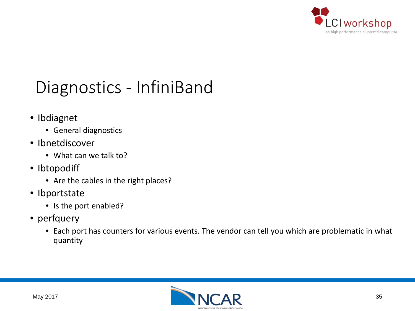

## Diagnostics - InfiniBand

- Ibdiagnet
	- General diagnostics
- Ibnetdiscover
	- What can we talk to?
- Ibtopodiff
	- Are the cables in the right places?
- Ibportstate
	- Is the port enabled?
- perfquery
	- Each port has counters for various events. The vendor can tell you which are problematic in what quantity

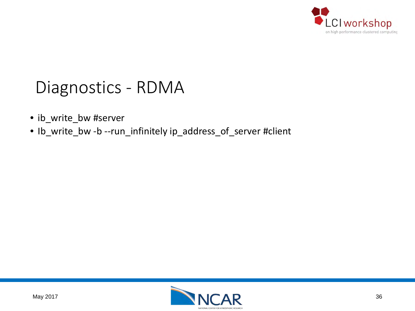

#### Diagnostics - RDMA

- ib\_write\_bw #server
- Ib\_write\_bw -b --run\_infinitely ip\_address\_of\_server #client

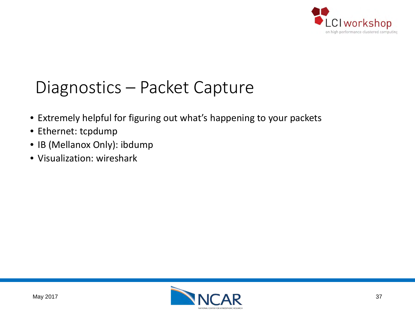

### Diagnostics – Packet Capture

- Extremely helpful for figuring out what's happening to your packets
- Ethernet: tcpdump
- IB (Mellanox Only): ibdump
- Visualization: wireshark